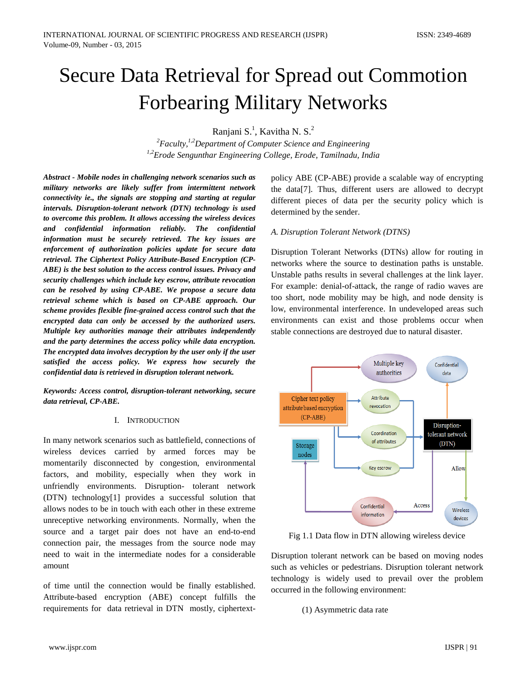# Secure Data Retrieval for Spread out Commotion Forbearing Military Networks

Ranjani S.<sup>1</sup>, Kavitha N. S.<sup>2</sup>

<sup>2</sup> Faculty,<sup>1,2</sup> Department of Computer Science and Engineering *1,2Erode Sengunthar Engineering College, Erode, Tamilnadu, India*

*Abstract - Mobile nodes in challenging network scenarios such as military networks are likely suffer from intermittent network connectivity ie., the signals are stopping and starting at regular intervals. Disruption-tolerant network (DTN) technology is used to overcome this problem. It allows accessing the wireless devices and confidential information reliably. The confidential information must be securely retrieved. The key issues are enforcement of authorization policies update for secure data retrieval. The Ciphertext Policy Attribute-Based Encryption (CP-ABE) is the best solution to the access control issues. Privacy and security challenges which include key escrow, attribute revocation can be resolved by using CP-ABE. We propose a secure data retrieval scheme which is based on CP-ABE approach. Our scheme provides flexible fine-grained access control such that the encrypted data can only be accessed by the authorized users. Multiple key authorities manage their attributes independently and the party determines the access policy while data encryption. The encrypted data involves decryption by the user only if the user satisfied the access policy. We express how securely the confidential data is retrieved in disruption tolerant network.*

*Keywords: Access control, disruption-tolerant networking, secure data retrieval, CP-ABE.*

#### I. INTRODUCTION

In many network scenarios such as battlefield, connections of wireless devices carried by armed forces may be momentarily disconnected by congestion, environmental factors, and mobility, especially when they work in unfriendly environments. Disruption- tolerant network (DTN) technology[1] provides a successful solution that allows nodes to be in touch with each other in these extreme unreceptive networking environments. Normally, when the source and a target pair does not have an end-to-end connection pair, the messages from the source node may need to wait in the intermediate nodes for a considerable amount

of time until the connection would be finally established. Attribute-based encryption (ABE) concept fulfills the requirements for data retrieval in DTN mostly, ciphertextpolicy ABE (CP-ABE) provide a scalable way of encrypting the data[7]. Thus, different users are allowed to decrypt different pieces of data per the security policy which is determined by the sender.

#### *A. Disruption Tolerant Network (DTNS)*

Disruption Tolerant Networks (DTNs) allow for routing in networks where the source to destination paths is unstable. Unstable paths results in several challenges at the link layer. For example: denial-of-attack, the range of radio waves are too short, node mobility may be high, and node density is low, environmental interference. In undeveloped areas such environments can exist and those problems occur when stable connections are destroyed due to natural disaster.



Fig 1.1 Data flow in DTN allowing wireless device

Disruption tolerant network can be based on moving nodes such as vehicles or pedestrians. Disruption tolerant network technology is widely used to prevail over the problem occurred in the following environment:

(1) Asymmetric data rate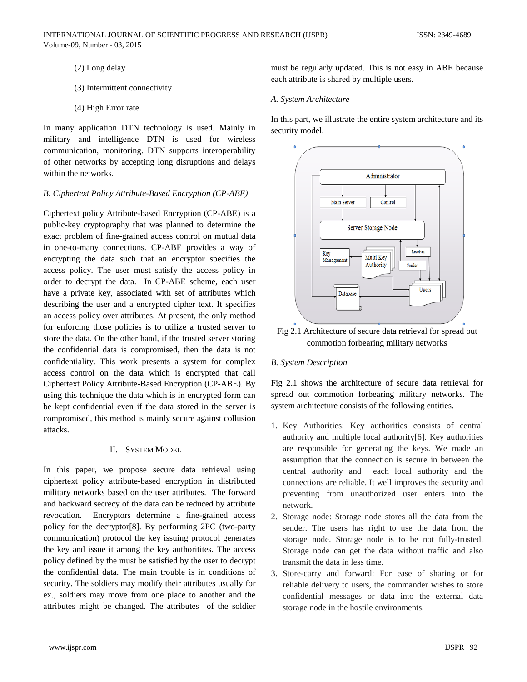- (2) Long delay
- (3) Intermittent connectivity
- (4) High Error rate

In many application DTN technology is used. Mainly in military and intelligence DTN is used for wireless communication, monitoring. DTN supports interoperability of other networks by accepting long disruptions and delays within the networks.

## *B. Ciphertext Policy Attribute-Based Encryption (CP-ABE)*

Ciphertext policy Attribute-based Encryption (CP-ABE) is a public-key cryptography that was planned to determine the exact problem of fine-grained access control on mutual data in one-to-many connections. CP-ABE provides a way of encrypting the data such that an encryptor specifies the access policy. The user must satisfy the access policy in order to decrypt the data. In CP-ABE scheme, each user have a private key, associated with set of attributes which describing the user and a encrypted cipher text. It specifies an access policy over attributes. At present, the only method for enforcing those policies is to utilize a trusted server to store the data. On the other hand, if the trusted server storing the confidential data is compromised, then the data is not confidentiality. This work presents a system for complex access control on the data which is encrypted that call Ciphertext Policy Attribute-Based Encryption (CP-ABE). By using this technique the data which is in encrypted form can be kept confidential even if the data stored in the server is compromised, this method is mainly secure against collusion attacks.

## II. SYSTEM MODEL

In this paper, we propose secure data retrieval using ciphertext policy attribute-based encryption in distributed military networks based on the user attributes. The forward and backward secrecy of the data can be reduced by attribute revocation. Encryptors determine a fine-grained access policy for the decryptor[8]. By performing 2PC (two-party communication) protocol the key issuing protocol generates the key and issue it among the key authoritites. The access policy defined by the must be satisfied by the user to decrypt the confidential data. The main trouble is in conditions of security. The soldiers may modify their attributes usually for ex., soldiers may move from one place to another and the attributes might be changed. The attributes of the soldier must be regularly updated. This is not easy in ABE because each attribute is shared by multiple users.

## *A. System Architecture*

In this part, we illustrate the entire system architecture and its security model.



Fig 2.1 Architecture of secure data retrieval for spread out commotion forbearing military networks

# *B. System Description*

Fig 2.1 shows the architecture of secure data retrieval for spread out commotion forbearing military networks. The system architecture consists of the following entities.

- 1. Key Authorities: Key authorities consists of central authority and multiple local authority[6]. Key authorities are responsible for generating the keys. We made an assumption that the connection is secure in between the central authority and each local authority and the connections are reliable. It well improves the security and preventing from unauthorized user enters into the network.
- 2. Storage node: Storage node stores all the data from the sender. The users has right to use the data from the storage node. Storage node is to be not fully-trusted. Storage node can get the data without traffic and also transmit the data in less time.
- 3. Store-carry and forward: For ease of sharing or for reliable delivery to users, the commander wishes to store confidential messages or data into the external data storage node in the hostile environments.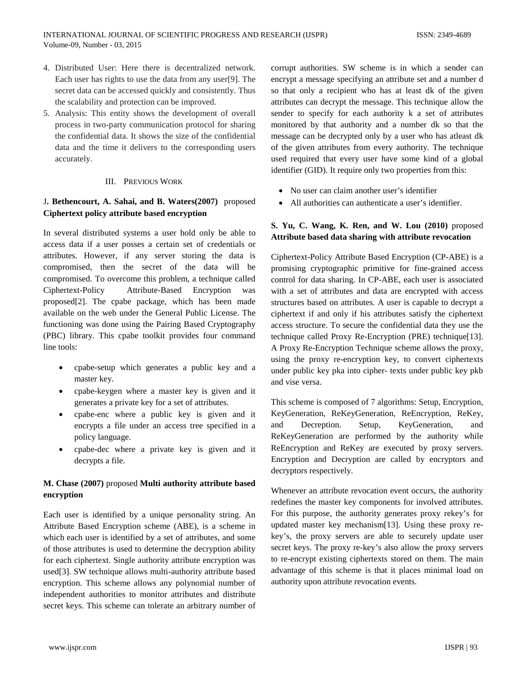- 4. Distributed User: Here there is decentralized network. Each user has rights to use the data from any user[9]. The secret data can be accessed quickly and consistently. Thus the scalability and protection can be improved.
- 5. Analysis: This entity shows the development of overall process in two-party communication protocol for sharing the confidential data. It shows the size of the confidential data and the time it delivers to the corresponding users accurately.

## III. PREVIOUS WORK

# J**. Bethencourt, A. Sahai, and B. Waters(2007)** proposed **Ciphertext policy attribute based encryption**

In several distributed systems a user hold only be able to access data if a user posses a certain set of credentials or attributes. However, if any server storing the data is compromised, then the secret of the data will be compromised. To overcome this problem, a technique called Ciphertext-Policy Attribute-Based Encryption was proposed[2]. The cpabe package, which has been made available on the web under the General Public License. The functioning was done using the Pairing Based Cryptography (PBC) library. This cpabe toolkit provides four command line tools:

- cpabe-setup which generates a public key and a master key.
- cpabe-keygen where a master key is given and it generates a private key for a set of attributes.
- cpabe-enc where a public key is given and it encrypts a file under an access tree specified in a policy language.
- cpabe-dec where a private key is given and it decrypts a file.

# **M. Chase (2007)** proposed **Multi authority attribute based encryption**

Each user is identified by a unique personality string. An Attribute Based Encryption scheme (ABE), is a scheme in which each user is identified by a set of attributes, and some of those attributes is used to determine the decryption ability for each ciphertext. Single authority attribute encryption was used[3]. SW technique allows multi-authority attribute based encryption. This scheme allows any polynomial number of independent authorities to monitor attributes and distribute secret keys. This scheme can tolerate an arbitrary number of

corrupt authorities. SW scheme is in which a sender can encrypt a message specifying an attribute set and a number d so that only a recipient who has at least dk of the given attributes can decrypt the message. This technique allow the sender to specify for each authority k a set of attributes monitored by that authority and a number dk so that the message can be decrypted only by a user who has atleast dk of the given attributes from every authority. The technique used required that every user have some kind of a global identifier (GID). It require only two properties from this:

- No user can claim another user's identifier
- All authorities can authenticate a user's identifier.

# **S. Yu, C. Wang, K. Ren, and W. Lou (2010)** proposed **Attribute based data sharing with attribute revocation**

Ciphertext-Policy Attribute Based Encryption (CP-ABE) is a promising cryptographic primitive for fine-grained access control for data sharing. In CP-ABE, each user is associated with a set of attributes and data are encrypted with access structures based on attributes. A user is capable to decrypt a ciphertext if and only if his attributes satisfy the ciphertext access structure. To secure the confidential data they use the technique called Proxy Re-Encryption (PRE) technique[13]. A Proxy Re-Encryption Technique scheme allows the proxy, using the proxy re-encryption key, to convert ciphertexts under public key pka into cipher- texts under public key pkb and vise versa.

This scheme is composed of 7 algorithms: Setup, Encryption, KeyGeneration, ReKeyGeneration, ReEncryption, ReKey, and Decreption. Setup, KeyGeneration, and ReKeyGeneration are performed by the authority while ReEncryption and ReKey are executed by proxy servers. Encryption and Decryption are called by encryptors and decryptors respectively.

Whenever an attribute revocation event occurs, the authority redefines the master key components for involved attributes. For this purpose, the authority generates proxy rekey's for updated master key mechanism[13]. Using these proxy rekey's, the proxy servers are able to securely update user secret keys. The proxy re-key's also allow the proxy servers to re-encrypt existing ciphertexts stored on them. The main advantage of this scheme is that it places minimal load on authority upon attribute revocation events.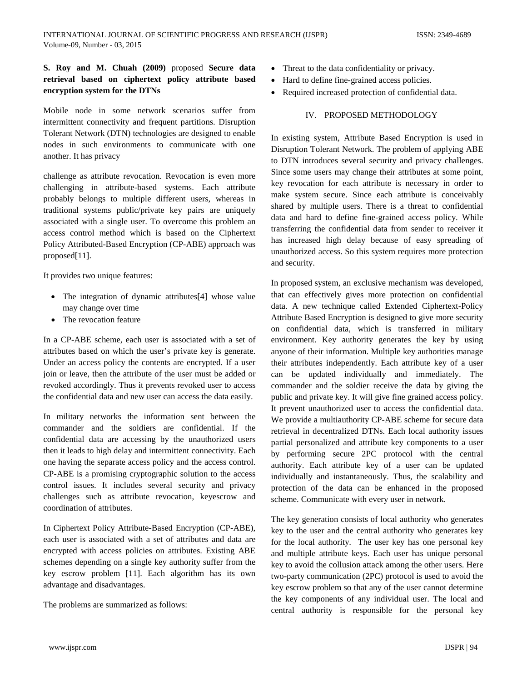# **S. Roy and M. Chuah (2009)** proposed **Secure data retrieval based on ciphertext policy attribute based encryption system for the DTNs**

Mobile node in some network scenarios suffer from intermittent connectivity and frequent partitions. Disruption Tolerant Network (DTN) technologies are designed to enable nodes in such environments to communicate with one another. It has privacy

challenge as attribute revocation. Revocation is even more challenging in attribute-based systems. Each attribute probably belongs to multiple different users, whereas in traditional systems public/private key pairs are uniquely associated with a single user. To overcome this problem an access control method which is based on the Ciphertext Policy Attributed-Based Encryption (CP-ABE) approach was proposed[11].

It provides two unique features:

- The integration of dynamic attributes<sup>[4]</sup> whose value may change over time
- The revocation feature

In a CP-ABE scheme, each user is associated with a set of attributes based on which the user's private key is generate. Under an access policy the contents are encrypted. If a user join or leave, then the attribute of the user must be added or revoked accordingly. Thus it prevents revoked user to access the confidential data and new user can access the data easily.

In military networks the information sent between the commander and the soldiers are confidential. If the confidential data are accessing by the unauthorized users then it leads to high delay and intermittent connectivity. Each one having the separate access policy and the access control. CP-ABE is a promising cryptographic solution to the access control issues. It includes several security and privacy challenges such as attribute revocation, keyescrow and coordination of attributes.

In Ciphertext Policy Attribute-Based Encryption (CP*-*ABE), each user is associated with a set of attributes and data are encrypted with access policies on attributes. Existing ABE schemes depending on a single key authority suffer from the key escrow problem [11]. Each algorithm has its own advantage and disadvantages.

The problems are summarized as follows:

- Threat to the data confidentiality or privacy.
- Hard to define fine-grained access policies.
- Required increased protection of confidential data.

#### IV. PROPOSED METHODOLOGY

In existing system, Attribute Based Encryption is used in Disruption Tolerant Network. The problem of applying ABE to DTN introduces several security and privacy challenges. Since some users may change their attributes at some point, key revocation for each attribute is necessary in order to make system secure. Since each attribute is conceivably shared by multiple users. There is a threat to confidential data and hard to define fine-grained access policy. While transferring the confidential data from sender to receiver it has increased high delay because of easy spreading of unauthorized access. So this system requires more protection and security.

In proposed system, an exclusive mechanism was developed, that can effectively gives more protection on confidential data. A new technique called Extended Ciphertext-Policy Attribute Based Encryption is designed to give more security on confidential data, which is transferred in military environment. Key authority generates the key by using anyone of their information. Multiple key authorities manage their attributes independently. Each attribute key of a user can be updated individually and immediately. The commander and the soldier receive the data by giving the public and private key. It will give fine grained access policy. It prevent unauthorized user to access the confidential data. We provide a multiauthority CP-ABE scheme for secure data retrieval in decentralized DTNs. Each local authority issues partial personalized and attribute key components to a user by performing secure 2PC protocol with the central authority. Each attribute key of a user can be updated individually and instantaneously. Thus, the scalability and protection of the data can be enhanced in the proposed scheme. Communicate with every user in network.

The key generation consists of local authority who generates key to the user and the central authority who generates key for the local authority. The user key has one personal key and multiple attribute keys. Each user has unique personal key to avoid the collusion attack among the other users. Here two-party communication (2PC) protocol is used to avoid the key escrow problem so that any of the user cannot determine the key components of any individual user. The local and central authority is responsible for the personal key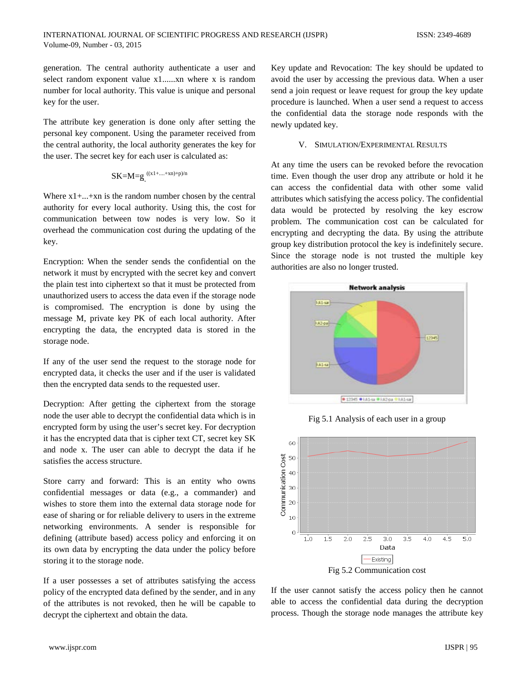generation. The central authority authenticate a user and select random exponent value x1......xn where x is random number for local authority. This value is unique and personal key for the user.

The attribute key generation is done only after setting the personal key component. Using the parameter received from the central authority, the local authority generates the key for the user. The secret key for each user is calculated as:

$$
SK = M = g^{((x1 + \ldots + xn) + p)/n}
$$

Where  $x1 + ... + xn$  is the random number chosen by the central authority for every local authority. Using this, the cost for communication between tow nodes is very low. So it overhead the communication cost during the updating of the key.

Encryption: When the sender sends the confidential on the network it must by encrypted with the secret key and convert the plain test into ciphertext so that it must be protected from unauthorized users to access the data even if the storage node is compromised. The encryption is done by using the message M, private key PK of each local authority. After encrypting the data, the encrypted data is stored in the storage node.

If any of the user send the request to the storage node for encrypted data, it checks the user and if the user is validated then the encrypted data sends to the requested user.

Decryption: After getting the ciphertext from the storage node the user able to decrypt the confidential data which is in encrypted form by using the user's secret key. For decryption it has the encrypted data that is cipher text CT, secret key SK and node x. The user can able to decrypt the data if he satisfies the access structure.

Store carry and forward: This is an entity who owns confidential messages or data (e.g., a commander) and wishes to store them into the external data storage node for ease of sharing or for reliable delivery to users in the extreme networking environments. A sender is responsible for defining (attribute based) access policy and enforcing it on its own data by encrypting the data under the policy before storing it to the storage node.

If a user possesses a set of attributes satisfying the access policy of the encrypted data defined by the sender, and in any of the attributes is not revoked, then he will be capable to decrypt the ciphertext and obtain the data.

Key update and Revocation: The key should be updated to avoid the user by accessing the previous data. When a user send a join request or leave request for group the key update procedure is launched. When a user send a request to access the confidential data the storage node responds with the newly updated key.

## V. SIMULATION/EXPERIMENTAL RESULTS

At any time the users can be revoked before the revocation time. Even though the user drop any attribute or hold it he can access the confidential data with other some valid attributes which satisfying the access policy. The confidential data would be protected by resolving the key escrow problem. The communication cost can be calculated for encrypting and decrypting the data. By using the attribute group key distribution protocol the key is indefinitely secure. Since the storage node is not trusted the multiple key authorities are also no longer trusted.



Fig 5.1 Analysis of each user in a group



If the user cannot satisfy the access policy then he cannot able to access the confidential data during the decryption process. Though the storage node manages the attribute key